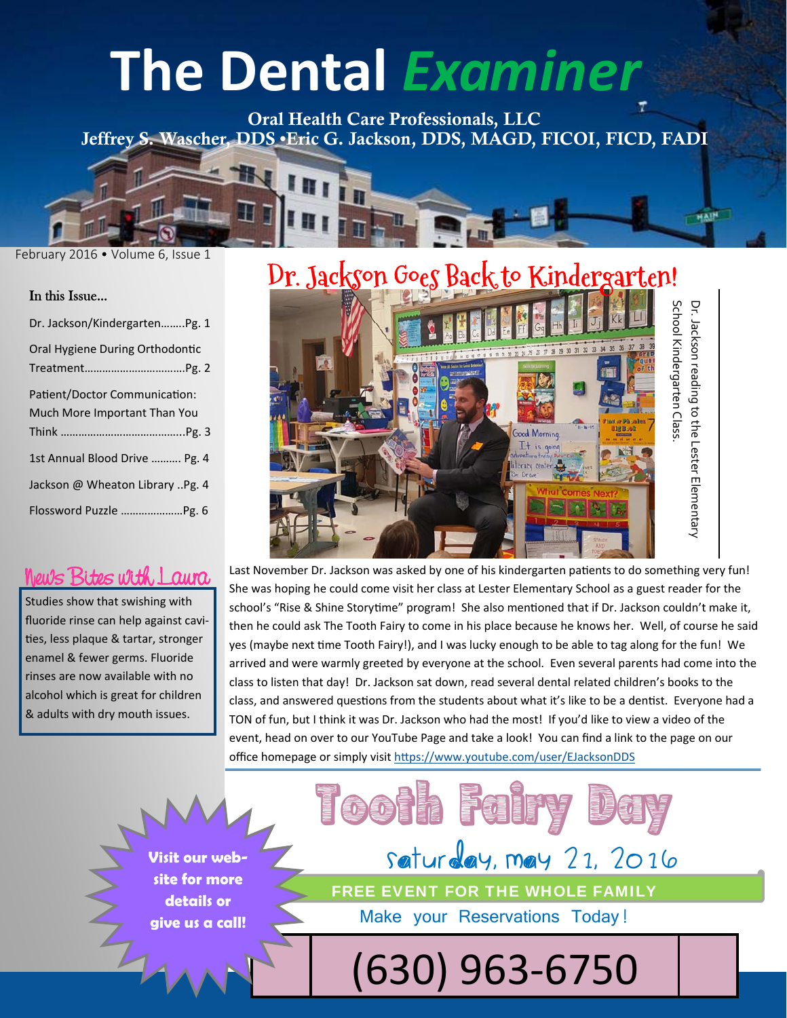# **The Dental** *Examiner*

Im

Oral Health Care Professionals, LLC Jeffrey S. Wascher, DDS •Eric G. Jackson, DDS, MAGD, FICOI, FICD, FADI

February 2016 • Volume 6, Issue 1

#### In this Issue…

| Dr. Jackson/KindergartenPg. 1   |
|---------------------------------|
| Oral Hygiene During Orthodontic |
|                                 |
| Patient/Doctor Communication:   |
| Much More Important Than You    |
|                                 |
|                                 |
| 1st Annual Blood Drive  Pg. 4   |
| Jackson @ Wheaton Library Pg. 4 |

## News Bites with Laura

Studies show that swishing with fluoride rinse can help against cavi‐ ties, less plaque & tartar, stronger enamel & fewer germs. Fluoride rinses are now available with no alcohol which is great for children & adults with dry mouth issues.

## **Dr. Jackson Goes Back to Kindergarten!**  School Kindergarten Class School Kindergarten Class. Dr. Jackson reading to the Lester Elementary Good Morning  $It is a$

Dr. Jackson reading to the Lester Elementary

**HAIP** 

Last November Dr. Jackson was asked by one of his kindergarten patients to do something very fun! She was hoping he could come visit her class at Lester Elementary School as a guest reader for the school's "Rise & Shine Storytime" program! She also mentioned that if Dr. Jackson couldn't make it, then he could ask The Tooth Fairy to come in his place because he knows her. Well, of course he said yes (maybe next time Tooth Fairy!), and I was lucky enough to be able to tag along for the fun! We arrived and were warmly greeted by everyone at the school. Even several parents had come into the class to listen that day! Dr. Jackson sat down, read several dental related children's books to the class, and answered questions from the students about what it's like to be a dentist. Everyone had a TON of fun, but I think it was Dr. Jackson who had the most! If you'd like to view a video of the event, head on over to our YouTube Page and take a look! You can find a link to the page on our office homepage or simply visit https://www.youtube.com/user/EJacksonDDS

**Visit our website for more details or give us a call!** 

(630) 963‐6750 Make your Reservations Today!

FREE EVENT FOR THE WHOLE FAMILY

Tooth Fairy Day

Saturday, May 21, 2016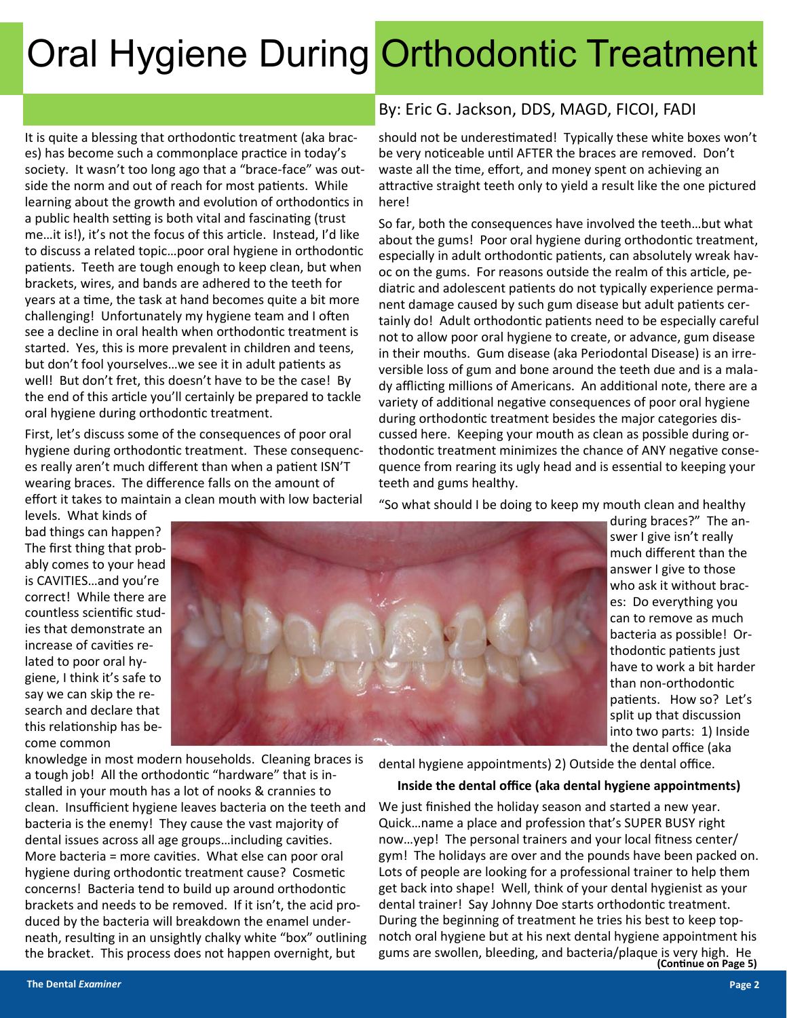# Oral Hygiene During Orthodontic Treatment

It is quite a blessing that orthodontic treatment (aka braces) has become such a commonplace practice in today's society. It wasn't too long ago that a "brace-face" was outside the norm and out of reach for most patients. While learning about the growth and evolution of orthodontics in a public health setting is both vital and fascinating (trust me...it is!), it's not the focus of this article. Instead, I'd like to discuss a related topic...poor oral hygiene in orthodontic patients. Teeth are tough enough to keep clean, but when brackets, wires, and bands are adhered to the teeth for years at a time, the task at hand becomes quite a bit more challenging! Unfortunately my hygiene team and I often see a decline in oral health when orthodontic treatment is started. Yes, this is more prevalent in children and teens, but don't fool yourselves...we see it in adult patients as well! But don't fret, this doesn't have to be the case! By the end of this article you'll certainly be prepared to tackle oral hygiene during orthodontic treatment.

First, let's discuss some of the consequences of poor oral hygiene during orthodontic treatment. These consequences really aren't much different than when a patient ISN'T wearing braces. The difference falls on the amount of effort it takes to maintain a clean mouth with low bacterial

### By: Eric G. Jackson, DDS, MAGD, FICOI, FADI

should not be underestimated! Typically these white boxes won't be very noticeable until AFTER the braces are removed. Don't waste all the time, effort, and money spent on achieving an attractive straight teeth only to yield a result like the one pictured here!

So far, both the consequences have involved the teeth…but what about the gums! Poor oral hygiene during orthodontic treatment, especially in adult orthodontic patients, can absolutely wreak havoc on the gums. For reasons outside the realm of this article, pediatric and adolescent patients do not typically experience permanent damage caused by such gum disease but adult patients certainly do! Adult orthodontic patients need to be especially careful not to allow poor oral hygiene to create, or advance, gum disease in their mouths. Gum disease (aka Periodontal Disease) is an irre‐ versible loss of gum and bone around the teeth due and is a mala‐ dy afflicting millions of Americans. An additional note, there are a variety of additional negative consequences of poor oral hygiene during orthodontic treatment besides the major categories discussed here. Keeping your mouth as clean as possible during or‐ thodontic treatment minimizes the chance of ANY negative consequence from rearing its ugly head and is essential to keeping your teeth and gums healthy.

"So what should I be doing to keep my mouth clean and healthy

levels. What kinds of bad things can happen? The first thing that prob‐ ably comes to your head is CAVITIES…and you're correct! While there are countless scientific studies that demonstrate an increase of cavities related to poor oral hy‐ giene, I think it's safe to say we can skip the re‐ search and declare that this relationship has become common



knowledge in most modern households. Cleaning braces is a tough job! All the orthodontic "hardware" that is installed in your mouth has a lot of nooks & crannies to clean. Insufficient hygiene leaves bacteria on the teeth and bacteria is the enemy! They cause the vast majority of dental issues across all age groups...including cavities. More bacteria = more cavities. What else can poor oral hygiene during orthodontic treatment cause? Cosmetic concerns! Bacteria tend to build up around orthodontic brackets and needs to be removed. If it isn't, the acid pro‐ duced by the bacteria will breakdown the enamel under‐ neath, resulting in an unsightly chalky white "box" outlining during braces?" The an‐ swer I give isn't really much different than the answer I give to those who ask it without brac‐ es: Do everything you can to remove as much bacteria as possible! Or‐ thodontic patients just have to work a bit harder than non-orthodontic patients. How so? Let's split up that discussion into two parts: 1) Inside the dental office (aka

dental hygiene appointments) 2) Outside the dental office.

### **Inside the dental office (aka dental hygiene appointments)**

the bracket. This process does not happen overnight, but **gums are swollen, bleeding, and bacteria**/plaque is very high. He<br>(Continue on Page 5) We just finished the holiday season and started a new year. Quick…name a place and profession that's SUPER BUSY right now…yep! The personal trainers and your local fitness center/ gym! The holidays are over and the pounds have been packed on. Lots of people are looking for a professional trainer to help them get back into shape! Well, think of your dental hygienist as your dental trainer! Say Johnny Doe starts orthodontic treatment. During the beginning of treatment he tries his best to keep top‐ notch oral hygiene but at his next dental hygiene appointment his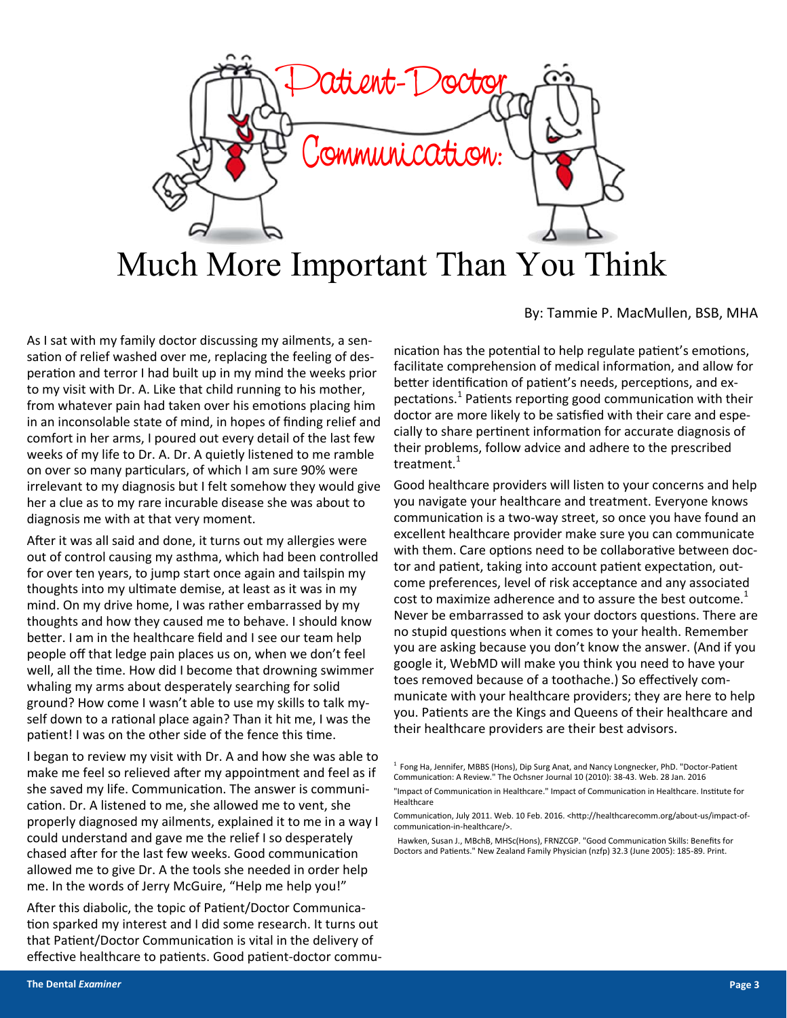

Much More Important Than You Think

As I sat with my family doctor discussing my ailments, a sensation of relief washed over me, replacing the feeling of desperation and terror I had built up in my mind the weeks prior to my visit with Dr. A. Like that child running to his mother, from whatever pain had taken over his emotions placing him in an inconsolable state of mind, in hopes of finding relief and comfort in her arms, I poured out every detail of the last few weeks of my life to Dr. A. Dr. A quietly listened to me ramble on over so many particulars, of which I am sure 90% were irrelevant to my diagnosis but I felt somehow they would give her a clue as to my rare incurable disease she was about to diagnosis me with at that very moment.

After it was all said and done, it turns out my allergies were out of control causing my asthma, which had been controlled for over ten years, to jump start once again and tailspin my thoughts into my ultimate demise, at least as it was in my mind. On my drive home, I was rather embarrassed by my thoughts and how they caused me to behave. I should know better. I am in the healthcare field and I see our team help people off that ledge pain places us on, when we don't feel well, all the time. How did I become that drowning swimmer whaling my arms about desperately searching for solid ground? How come I wasn't able to use my skills to talk my‐ self down to a rational place again? Than it hit me, I was the patient! I was on the other side of the fence this time.

I began to review my visit with Dr. A and how she was able to make me feel so relieved after my appointment and feel as if she saved my life. Communication. The answer is communication. Dr. A listened to me, she allowed me to vent, she properly diagnosed my ailments, explained it to me in a way I could understand and gave me the relief I so desperately chased after for the last few weeks. Good communication allowed me to give Dr. A the tools she needed in order help me. In the words of Jerry McGuire, "Help me help you!"

After this diabolic, the topic of Patient/Doctor Communication sparked my interest and I did some research. It turns out that Patient/Doctor Communication is vital in the delivery of effective healthcare to patients. Good patient-doctor commuBy: Tammie P. MacMullen, BSB, MHA

nication has the potential to help regulate patient's emotions, facilitate comprehension of medical information, and allow for better identification of patient's needs, perceptions, and expectations.<sup>1</sup> Patients reporting good communication with their doctor are more likely to be satisfied with their care and especially to share pertinent information for accurate diagnosis of their problems, follow advice and adhere to the prescribed treatment. $1$ 

Good healthcare providers will listen to your concerns and help you navigate your healthcare and treatment. Everyone knows communication is a two-way street, so once you have found an excellent healthcare provider make sure you can communicate with them. Care options need to be collaborative between doctor and patient, taking into account patient expectation, outcome preferences, level of risk acceptance and any associated cost to maximize adherence and to assure the best outcome.<sup>1</sup> Never be embarrassed to ask your doctors questions. There are no stupid questions when it comes to your health. Remember you are asking because you don't know the answer. (And if you google it, WebMD will make you think you need to have your toes removed because of a toothache.) So effectively communicate with your healthcare providers; they are here to help you. Patients are the Kings and Queens of their healthcare and their healthcare providers are their best advisors.

 $1$  Fong Ha, Jennifer, MBBS (Hons), Dip Surg Anat, and Nancy Longnecker, PhD. "Doctor-Patient CommunicaƟon: A Review." The Ochsner Journal 10 (2010): 38‐43. Web. 28 Jan. 2016 "Impact of Communication in Healthcare." Impact of Communication in Healthcare. Institute for

Healthcare

Communication, July 2011. Web. 10 Feb. 2016. <http://healthcarecomm.org/about-us/impact-ofcommunicaƟon‐in‐healthcare/>.

Hawken, Susan J., MBchB, MHSc(Hons), FRNZCGP. "Good Communication Skills: Benefits for Doctors and Patients." New Zealand Family Physician (nzfp) 32.3 (June 2005): 185-89. Print.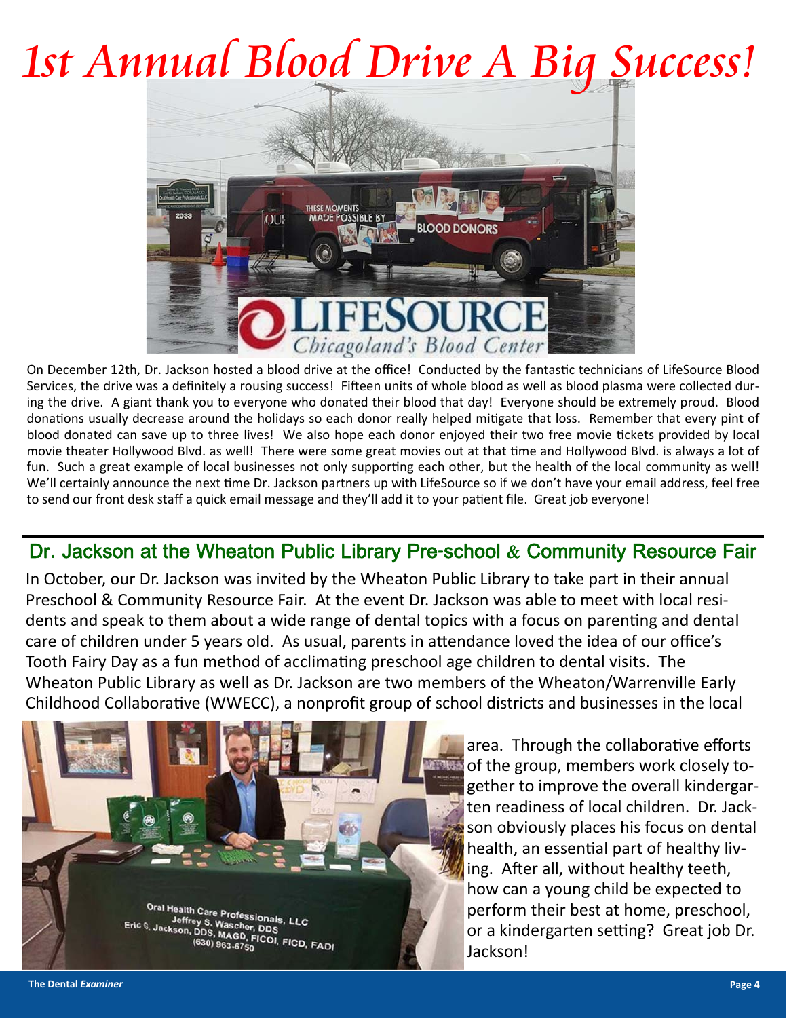# 1st Annual Blood Drive A Big Success!



On December 12th, Dr. Jackson hosted a blood drive at the office! Conducted by the fantastic technicians of LifeSource Blood Services, the drive was a definitely a rousing success! Fifteen units of whole blood as well as blood plasma were collected during the drive. A giant thank you to everyone who donated their blood that day! Everyone should be extremely proud. Blood donations usually decrease around the holidays so each donor really helped mitigate that loss. Remember that every pint of blood donated can save up to three lives! We also hope each donor enjoyed their two free movie tickets provided by local movie theater Hollywood Blvd. as well! There were some great movies out at that time and Hollywood Blvd. is always a lot of fun. Such a great example of local businesses not only supporting each other, but the health of the local community as well! We'll certainly announce the next time Dr. Jackson partners up with LifeSource so if we don't have your email address, feel free to send our front desk staff a quick email message and they'll add it to your patient file. Great job everyone!

### Dr. Jackson at the Wheaton Public Library Pre-school & Community Resource Fair

In October, our Dr. Jackson was invited by the Wheaton Public Library to take part in their annual Preschool & Community Resource Fair. At the event Dr. Jackson was able to meet with local resi‐ dents and speak to them about a wide range of dental topics with a focus on parenting and dental care of children under 5 years old. As usual, parents in attendance loved the idea of our office's Tooth Fairy Day as a fun method of acclimating preschool age children to dental visits. The Wheaton Public Library as well as Dr. Jackson are two members of the Wheaton/Warrenville Early Childhood Collaborative (WWECC), a nonprofit group of school districts and businesses in the local



area. Through the collaborative efforts of the group, members work closely to‐ gether to improve the overall kindergar‐ ten readiness of local children. Dr. Jack‐ son obviously places his focus on dental health, an essential part of healthy living. After all, without healthy teeth, how can a young child be expected to perform their best at home, preschool, or a kindergarten setting? Great job Dr. Jackson!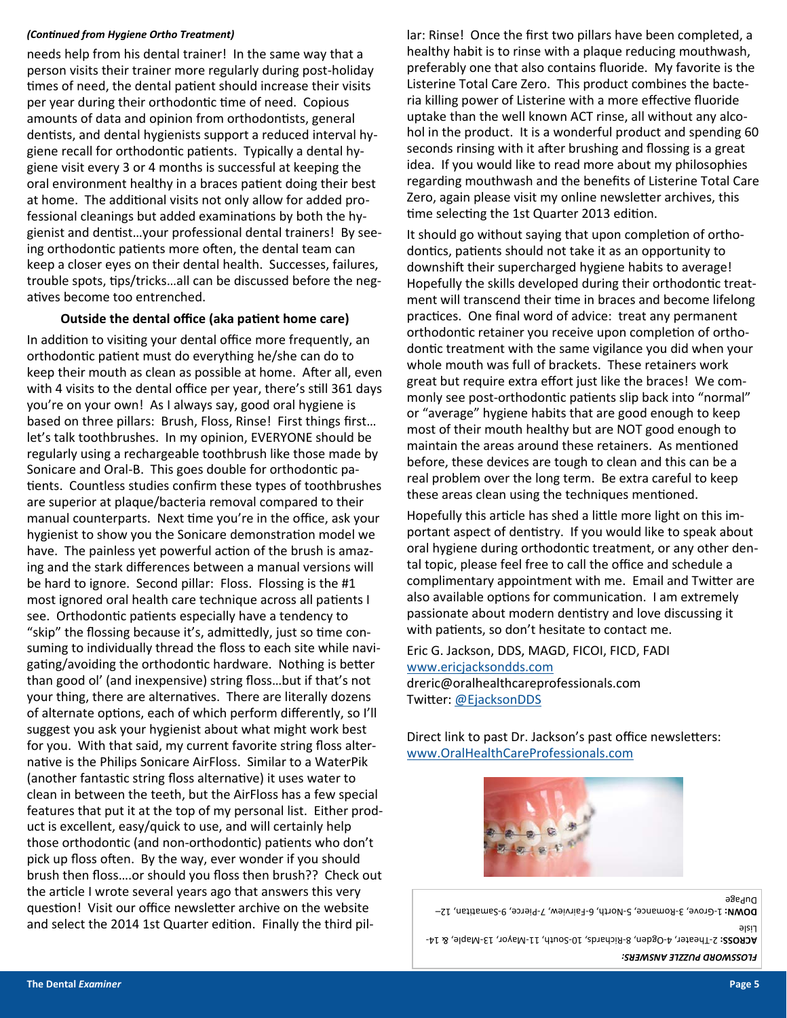#### *(ConƟnued from Hygiene Ortho Treatment)*

needs help from his dental trainer! In the same way that a person visits their trainer more regularly during post-holiday times of need, the dental patient should increase their visits per year during their orthodontic time of need. Copious amounts of data and opinion from orthodontists, general dentists, and dental hygienists support a reduced interval hygiene recall for orthodontic patients. Typically a dental hygiene visit every 3 or 4 months is successful at keeping the oral environment healthy in a braces patient doing their best at home. The additional visits not only allow for added professional cleanings but added examinations by both the hygienist and dentist... your professional dental trainers! By seeing orthodontic patients more often, the dental team can keep a closer eyes on their dental health. Successes, failures, trouble spots, tips/tricks...all can be discussed before the negatives become too entrenched.

### **Outside the dental office (aka patient home care)**

In addition to visiting your dental office more frequently, an orthodontic patient must do everything he/she can do to keep their mouth as clean as possible at home. After all, even with 4 visits to the dental office per year, there's still 361 days you're on your own! As I always say, good oral hygiene is based on three pillars: Brush, Floss, Rinse! First things first… let's talk toothbrushes. In my opinion, EVERYONE should be regularly using a rechargeable toothbrush like those made by Sonicare and Oral-B. This goes double for orthodontic patients. Countless studies confirm these types of toothbrushes are superior at plaque/bacteria removal compared to their manual counterparts. Next time you're in the office, ask your hygienist to show you the Sonicare demonstration model we have. The painless yet powerful action of the brush is amazing and the stark differences between a manual versions will be hard to ignore. Second pillar: Floss. Flossing is the #1 most ignored oral health care technique across all patients I see. Orthodontic patients especially have a tendency to "skip" the flossing because it's, admittedly, just so time consuming to individually thread the floss to each site while navi‐ gating/avoiding the orthodontic hardware. Nothing is better than good ol' (and inexpensive) string floss…but if that's not your thing, there are alternatives. There are literally dozens of alternate options, each of which perform differently, so I'll suggest you ask your hygienist about what might work best for you. With that said, my current favorite string floss alter‐ native is the Philips Sonicare AirFloss. Similar to a WaterPik (another fantastic string floss alternative) it uses water to clean in between the teeth, but the AirFloss has a few special features that put it at the top of my personal list. Either prod‐ uct is excellent, easy/quick to use, and will certainly help those orthodontic (and non-orthodontic) patients who don't pick up floss often. By the way, ever wonder if you should brush then floss….or should you floss then brush?? Check out the article I wrote several years ago that answers this very question! Visit our office newsletter archive on the website and select the 2014 1st Quarter edition. Finally the third pillar: Rinse! Once the first two pillars have been completed, a healthy habit is to rinse with a plaque reducing mouthwash, preferably one that also contains fluoride. My favorite is the Listerine Total Care Zero. This product combines the bacte‐ ria killing power of Listerine with a more effective fluoride uptake than the well known ACT rinse, all without any alco‐ hol in the product. It is a wonderful product and spending 60 seconds rinsing with it after brushing and flossing is a great idea. If you would like to read more about my philosophies regarding mouthwash and the benefits of Listerine Total Care Zero, again please visit my online newsletter archives, this time selecting the 1st Quarter 2013 edition.

It should go without saying that upon completion of orthodontics, patients should not take it as an opportunity to downshift their supercharged hygiene habits to average! Hopefully the skills developed during their orthodontic treatment will transcend their time in braces and become lifelong practices. One final word of advice: treat any permanent orthodontic retainer you receive upon completion of orthodontic treatment with the same vigilance you did when your whole mouth was full of brackets. These retainers work great but require extra effort just like the braces! We com‐ monly see post-orthodontic patients slip back into "normal" or "average" hygiene habits that are good enough to keep most of their mouth healthy but are NOT good enough to maintain the areas around these retainers. As mentioned before, these devices are tough to clean and this can be a real problem over the long term. Be extra careful to keep these areas clean using the techniques mentioned.

Hopefully this article has shed a little more light on this important aspect of dentistry. If you would like to speak about oral hygiene during orthodontic treatment, or any other dental topic, please feel free to call the office and schedule a complimentary appointment with me. Email and Twitter are also available options for communication. I am extremely passionate about modern dentistry and love discussing it with patients, so don't hesitate to contact me.

Eric G. Jackson, DDS, MAGD, FICOI, FICD, FADI www.ericjacksondds.com dreric@oralhealthcareprofessionals.com Twitter: @EjacksonDDS

Direct link to past Dr. Jackson's past office newsletters: [www.OralHealthCareProfessionals.com](http://www.oralhealthcareprofessionals.com/quarterly-newsletter.html) 



DuPage

Lisle DOWN: 1-Grove, 3-Romance, 5-North, 6-Fairview, 7-Pierce, 9-Samatitan, 12-

*FLOSSWORD PUZZLE ANSWERS:*  ‐ Maple, & 14 ‐ Mayor, 13 ‐ South, 11 ‐ Richards, 10 ‐ Ogden, 8 ‐ Theater, 4 ‐ 2 **ACROSS:**